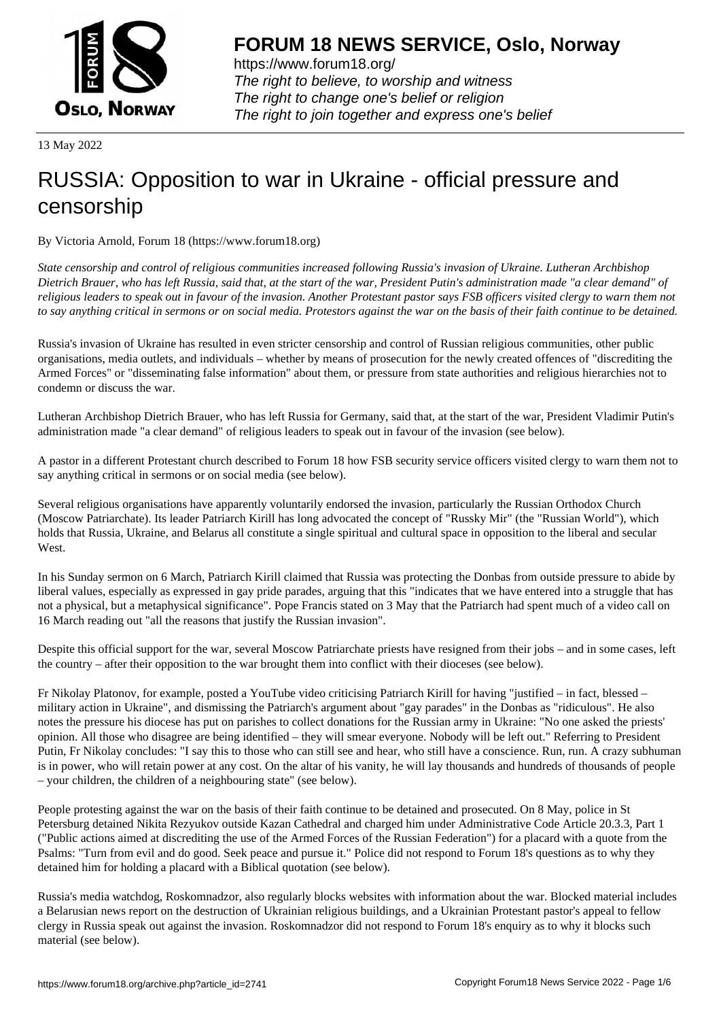

https://www.forum18.org/ The right to believe, to worship and witness The right to change one's belief or religion [The right to join together a](https://www.forum18.org/)nd express one's belief

13 May 2022

## [RUSSIA: Oppos](https://www.forum18.org)ition to war in Ukraine - official pressure and censorship

By Victoria Arnold, Forum 18 (https://www.forum18.org)

*State censorship and control of religious communities increased following Russia's invasion of Ukraine. Lutheran Archbishop Dietrich Brauer, who has left Russia, said that, at the start of the war, President Putin's administration made "a clear demand" of religious leaders to speak out in favour of the invasion. Another Protestant pastor says FSB officers visited clergy to warn them not to say anything critical in sermons or on social media. Protestors against the war on the basis of their faith continue to be detained.*

Russia's invasion of Ukraine has resulted in even stricter censorship and control of Russian religious communities, other public organisations, media outlets, and individuals – whether by means of prosecution for the newly created offences of "discrediting the Armed Forces" or "disseminating false information" about them, or pressure from state authorities and religious hierarchies not to condemn or discuss the war.

Lutheran Archbishop Dietrich Brauer, who has left Russia for Germany, said that, at the start of the war, President Vladimir Putin's administration made "a clear demand" of religious leaders to speak out in favour of the invasion (see below).

A pastor in a different Protestant church described to Forum 18 how FSB security service officers visited clergy to warn them not to say anything critical in sermons or on social media (see below).

Several religious organisations have apparently voluntarily endorsed the invasion, particularly the Russian Orthodox Church (Moscow Patriarchate). Its leader Patriarch Kirill has long advocated the concept of "Russky Mir" (the "Russian World"), which holds that Russia, Ukraine, and Belarus all constitute a single spiritual and cultural space in opposition to the liberal and secular West.

In his Sunday sermon on 6 March, Patriarch Kirill claimed that Russia was protecting the Donbas from outside pressure to abide by liberal values, especially as expressed in gay pride parades, arguing that this "indicates that we have entered into a struggle that has not a physical, but a metaphysical significance". Pope Francis stated on 3 May that the Patriarch had spent much of a video call on 16 March reading out "all the reasons that justify the Russian invasion".

Despite this official support for the war, several Moscow Patriarchate priests have resigned from their jobs – and in some cases, left the country – after their opposition to the war brought them into conflict with their dioceses (see below).

Fr Nikolay Platonov, for example, posted a YouTube video criticising Patriarch Kirill for having "justified – in fact, blessed – military action in Ukraine", and dismissing the Patriarch's argument about "gay parades" in the Donbas as "ridiculous". He also notes the pressure his diocese has put on parishes to collect donations for the Russian army in Ukraine: "No one asked the priests' opinion. All those who disagree are being identified – they will smear everyone. Nobody will be left out." Referring to President Putin, Fr Nikolay concludes: "I say this to those who can still see and hear, who still have a conscience. Run, run. A crazy subhuman is in power, who will retain power at any cost. On the altar of his vanity, he will lay thousands and hundreds of thousands of people – your children, the children of a neighbouring state" (see below).

People protesting against the war on the basis of their faith continue to be detained and prosecuted. On 8 May, police in St Petersburg detained Nikita Rezyukov outside Kazan Cathedral and charged him under Administrative Code Article 20.3.3, Part 1 ("Public actions aimed at discrediting the use of the Armed Forces of the Russian Federation") for a placard with a quote from the Psalms: "Turn from evil and do good. Seek peace and pursue it." Police did not respond to Forum 18's questions as to why they detained him for holding a placard with a Biblical quotation (see below).

Russia's media watchdog, Roskomnadzor, also regularly blocks websites with information about the war. Blocked material includes a Belarusian news report on the destruction of Ukrainian religious buildings, and a Ukrainian Protestant pastor's appeal to fellow clergy in Russia speak out against the invasion. Roskomnadzor did not respond to Forum 18's enquiry as to why it blocks such material (see below).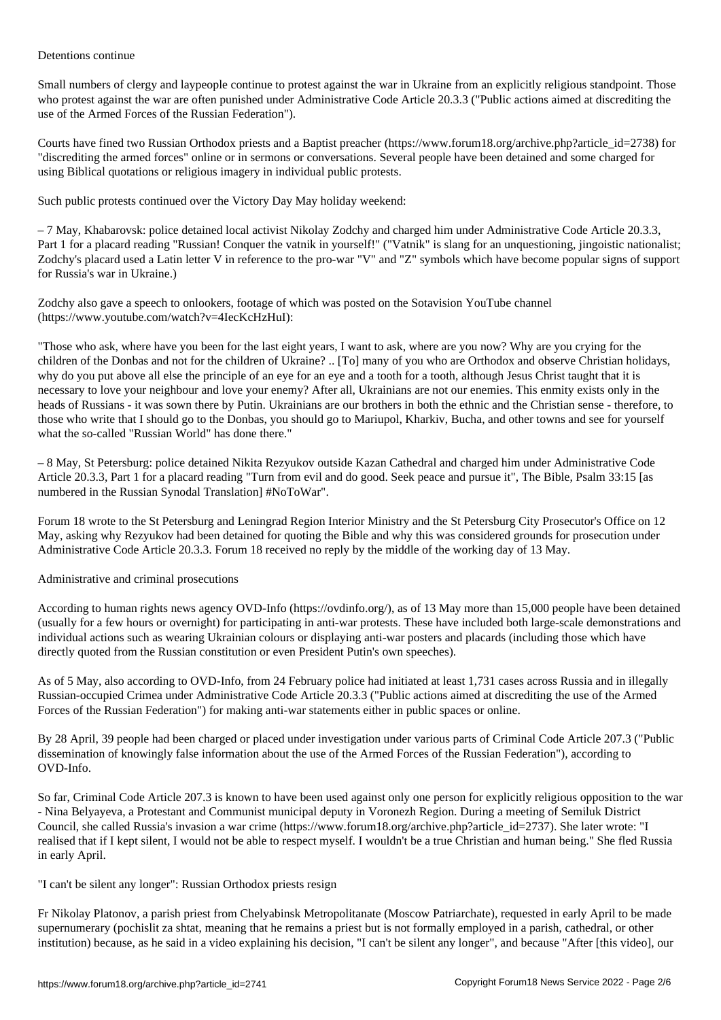Small numbers of clergy and laypeople continue to protest against the war in Ukraine from an explicitly religious standpoint. Those who protest against the war are often punished under Administrative Code Article 20.3.3 ("Public actions aimed at discrediting the use of the Armed Forces of the Russian Federation").

Courts have fined two Russian Orthodox priests and a Baptist preacher (https://www.forum18.org/archive.php?article\_id=2738) for "discrediting the armed forces" online or in sermons or conversations. Several people have been detained and some charged for using Biblical quotations or religious imagery in individual public protests.

Such public protests continued over the Victory Day May holiday weekend:

– 7 May, Khabarovsk: police detained local activist Nikolay Zodchy and charged him under Administrative Code Article 20.3.3, Part 1 for a placard reading "Russian! Conquer the vatnik in yourself!" ("Vatnik" is slang for an unquestioning, jingoistic nationalist; Zodchy's placard used a Latin letter V in reference to the pro-war "V" and "Z" symbols which have become popular signs of support for Russia's war in Ukraine.)

Zodchy also gave a speech to onlookers, footage of which was posted on the Sotavision YouTube channel (https://www.youtube.com/watch?v=4IecKcHzHuI):

"Those who ask, where have you been for the last eight years, I want to ask, where are you now? Why are you crying for the children of the Donbas and not for the children of Ukraine? .. [To] many of you who are Orthodox and observe Christian holidays, why do you put above all else the principle of an eye for an eye and a tooth for a tooth, although Jesus Christ taught that it is necessary to love your neighbour and love your enemy? After all, Ukrainians are not our enemies. This enmity exists only in the heads of Russians - it was sown there by Putin. Ukrainians are our brothers in both the ethnic and the Christian sense - therefore, to those who write that I should go to the Donbas, you should go to Mariupol, Kharkiv, Bucha, and other towns and see for yourself what the so-called "Russian World" has done there."

– 8 May, St Petersburg: police detained Nikita Rezyukov outside Kazan Cathedral and charged him under Administrative Code Article 20.3.3, Part 1 for a placard reading "Turn from evil and do good. Seek peace and pursue it", The Bible, Psalm 33:15 [as numbered in the Russian Synodal Translation] #NoToWar".

Forum 18 wrote to the St Petersburg and Leningrad Region Interior Ministry and the St Petersburg City Prosecutor's Office on 12 May, asking why Rezyukov had been detained for quoting the Bible and why this was considered grounds for prosecution under Administrative Code Article 20.3.3. Forum 18 received no reply by the middle of the working day of 13 May.

Administrative and criminal prosecutions

According to human rights news agency OVD-Info (https://ovdinfo.org/), as of 13 May more than 15,000 people have been detained (usually for a few hours or overnight) for participating in anti-war protests. These have included both large-scale demonstrations and individual actions such as wearing Ukrainian colours or displaying anti-war posters and placards (including those which have directly quoted from the Russian constitution or even President Putin's own speeches).

As of 5 May, also according to OVD-Info, from 24 February police had initiated at least 1,731 cases across Russia and in illegally Russian-occupied Crimea under Administrative Code Article 20.3.3 ("Public actions aimed at discrediting the use of the Armed Forces of the Russian Federation") for making anti-war statements either in public spaces or online.

By 28 April, 39 people had been charged or placed under investigation under various parts of Criminal Code Article 207.3 ("Public dissemination of knowingly false information about the use of the Armed Forces of the Russian Federation"), according to OVD-Info.

So far, Criminal Code Article 207.3 is known to have been used against only one person for explicitly religious opposition to the war - Nina Belyayeva, a Protestant and Communist municipal deputy in Voronezh Region. During a meeting of Semiluk District Council, she called Russia's invasion a war crime (https://www.forum18.org/archive.php?article\_id=2737). She later wrote: "I realised that if I kept silent, I would not be able to respect myself. I wouldn't be a true Christian and human being." She fled Russia in early April.

"I can't be silent any longer": Russian Orthodox priests resign

Fr Nikolay Platonov, a parish priest from Chelyabinsk Metropolitanate (Moscow Patriarchate), requested in early April to be made supernumerary (pochislit za shtat, meaning that he remains a priest but is not formally employed in a parish, cathedral, or other institution) because, as he said in a video explaining his decision, "I can't be silent any longer", and because "After [this video], our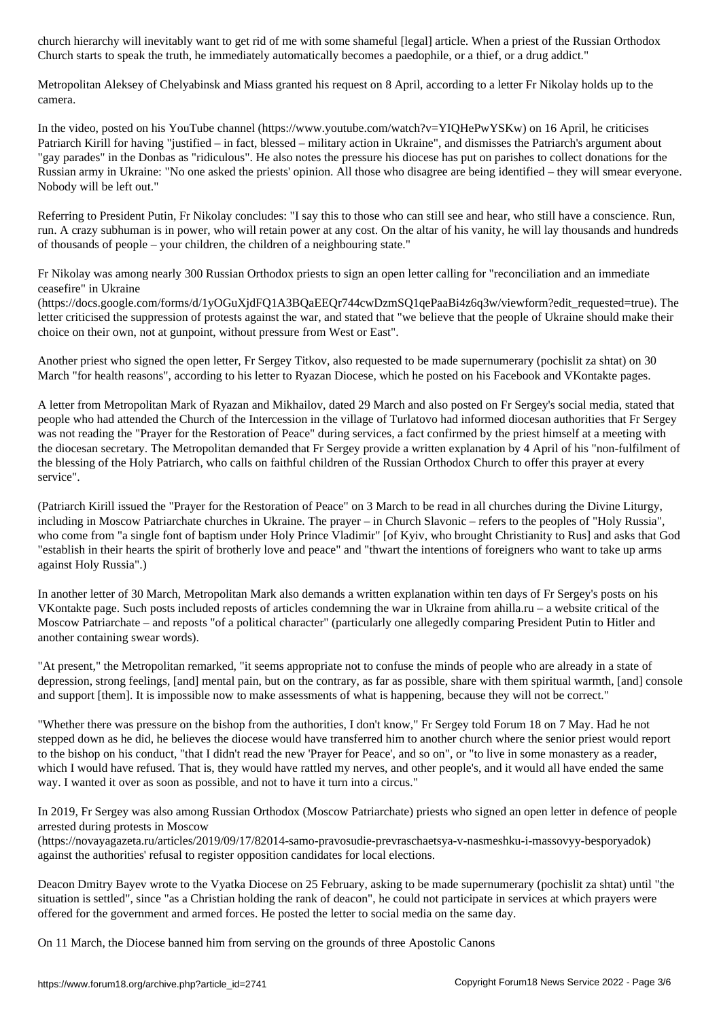Church starts to speak the truth, he immediately automatically becomes a paedophile, or a thief, or a drug addict."

Metropolitan Aleksey of Chelyabinsk and Miass granted his request on 8 April, according to a letter Fr Nikolay holds up to the camera.

In the video, posted on his YouTube channel (https://www.youtube.com/watch?v=YIQHePwYSKw) on 16 April, he criticises Patriarch Kirill for having "justified – in fact, blessed – military action in Ukraine", and dismisses the Patriarch's argument about "gay parades" in the Donbas as "ridiculous". He also notes the pressure his diocese has put on parishes to collect donations for the Russian army in Ukraine: "No one asked the priests' opinion. All those who disagree are being identified – they will smear everyone. Nobody will be left out."

Referring to President Putin, Fr Nikolay concludes: "I say this to those who can still see and hear, who still have a conscience. Run, run. A crazy subhuman is in power, who will retain power at any cost. On the altar of his vanity, he will lay thousands and hundreds of thousands of people – your children, the children of a neighbouring state."

Fr Nikolay was among nearly 300 Russian Orthodox priests to sign an open letter calling for "reconciliation and an immediate ceasefire" in Ukraine

(https://docs.google.com/forms/d/1yOGuXjdFQ1A3BQaEEQr744cwDzmSQ1qePaaBi4z6q3w/viewform?edit\_requested=true). The letter criticised the suppression of protests against the war, and stated that "we believe that the people of Ukraine should make their choice on their own, not at gunpoint, without pressure from West or East".

Another priest who signed the open letter, Fr Sergey Titkov, also requested to be made supernumerary (pochislit za shtat) on 30 March "for health reasons", according to his letter to Ryazan Diocese, which he posted on his Facebook and VKontakte pages.

A letter from Metropolitan Mark of Ryazan and Mikhailov, dated 29 March and also posted on Fr Sergey's social media, stated that people who had attended the Church of the Intercession in the village of Turlatovo had informed diocesan authorities that Fr Sergey was not reading the "Prayer for the Restoration of Peace" during services, a fact confirmed by the priest himself at a meeting with the diocesan secretary. The Metropolitan demanded that Fr Sergey provide a written explanation by 4 April of his "non-fulfilment of the blessing of the Holy Patriarch, who calls on faithful children of the Russian Orthodox Church to offer this prayer at every service".

(Patriarch Kirill issued the "Prayer for the Restoration of Peace" on 3 March to be read in all churches during the Divine Liturgy, including in Moscow Patriarchate churches in Ukraine. The prayer – in Church Slavonic – refers to the peoples of "Holy Russia", who come from "a single font of baptism under Holy Prince Vladimir" [of Kyiv, who brought Christianity to Rus] and asks that God "establish in their hearts the spirit of brotherly love and peace" and "thwart the intentions of foreigners who want to take up arms against Holy Russia".)

In another letter of 30 March, Metropolitan Mark also demands a written explanation within ten days of Fr Sergey's posts on his VKontakte page. Such posts included reposts of articles condemning the war in Ukraine from ahilla.ru – a website critical of the Moscow Patriarchate – and reposts "of a political character" (particularly one allegedly comparing President Putin to Hitler and another containing swear words).

"At present," the Metropolitan remarked, "it seems appropriate not to confuse the minds of people who are already in a state of depression, strong feelings, [and] mental pain, but on the contrary, as far as possible, share with them spiritual warmth, [and] console and support [them]. It is impossible now to make assessments of what is happening, because they will not be correct."

"Whether there was pressure on the bishop from the authorities, I don't know," Fr Sergey told Forum 18 on 7 May. Had he not stepped down as he did, he believes the diocese would have transferred him to another church where the senior priest would report to the bishop on his conduct, "that I didn't read the new 'Prayer for Peace', and so on", or "to live in some monastery as a reader, which I would have refused. That is, they would have rattled my nerves, and other people's, and it would all have ended the same way. I wanted it over as soon as possible, and not to have it turn into a circus."

In 2019, Fr Sergey was also among Russian Orthodox (Moscow Patriarchate) priests who signed an open letter in defence of people arrested during protests in Moscow

(https://novayagazeta.ru/articles/2019/09/17/82014-samo-pravosudie-prevraschaetsya-v-nasmeshku-i-massovyy-besporyadok) against the authorities' refusal to register opposition candidates for local elections.

Deacon Dmitry Bayev wrote to the Vyatka Diocese on 25 February, asking to be made supernumerary (pochislit za shtat) until "the situation is settled", since "as a Christian holding the rank of deacon", he could not participate in services at which prayers were offered for the government and armed forces. He posted the letter to social media on the same day.

On 11 March, the Diocese banned him from serving on the grounds of three Apostolic Canons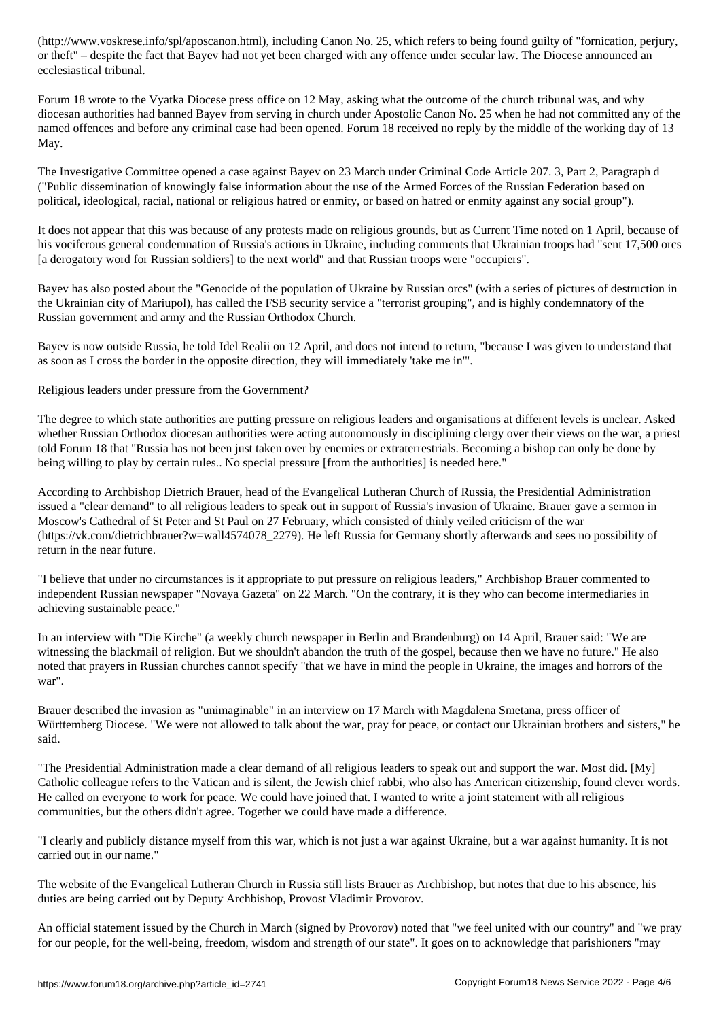or theft" – despite the fact that Bayev had not yet been charged with any offence under secular law. The Diocese announced an ecclesiastical tribunal.

Forum 18 wrote to the Vyatka Diocese press office on 12 May, asking what the outcome of the church tribunal was, and why diocesan authorities had banned Bayev from serving in church under Apostolic Canon No. 25 when he had not committed any of the named offences and before any criminal case had been opened. Forum 18 received no reply by the middle of the working day of 13 May.

The Investigative Committee opened a case against Bayev on 23 March under Criminal Code Article 207. 3, Part 2, Paragraph d ("Public dissemination of knowingly false information about the use of the Armed Forces of the Russian Federation based on political, ideological, racial, national or religious hatred or enmity, or based on hatred or enmity against any social group").

It does not appear that this was because of any protests made on religious grounds, but as Current Time noted on 1 April, because of his vociferous general condemnation of Russia's actions in Ukraine, including comments that Ukrainian troops had "sent 17,500 orcs [a derogatory word for Russian soldiers] to the next world" and that Russian troops were "occupiers".

Bayev has also posted about the "Genocide of the population of Ukraine by Russian orcs" (with a series of pictures of destruction in the Ukrainian city of Mariupol), has called the FSB security service a "terrorist grouping", and is highly condemnatory of the Russian government and army and the Russian Orthodox Church.

Bayev is now outside Russia, he told Idel Realii on 12 April, and does not intend to return, "because I was given to understand that as soon as I cross the border in the opposite direction, they will immediately 'take me in'".

Religious leaders under pressure from the Government?

The degree to which state authorities are putting pressure on religious leaders and organisations at different levels is unclear. Asked whether Russian Orthodox diocesan authorities were acting autonomously in disciplining clergy over their views on the war, a priest told Forum 18 that "Russia has not been just taken over by enemies or extraterrestrials. Becoming a bishop can only be done by being willing to play by certain rules.. No special pressure [from the authorities] is needed here."

According to Archbishop Dietrich Brauer, head of the Evangelical Lutheran Church of Russia, the Presidential Administration issued a "clear demand" to all religious leaders to speak out in support of Russia's invasion of Ukraine. Brauer gave a sermon in Moscow's Cathedral of St Peter and St Paul on 27 February, which consisted of thinly veiled criticism of the war (https://vk.com/dietrichbrauer?w=wall4574078\_2279). He left Russia for Germany shortly afterwards and sees no possibility of return in the near future.

"I believe that under no circumstances is it appropriate to put pressure on religious leaders," Archbishop Brauer commented to independent Russian newspaper "Novaya Gazeta" on 22 March. "On the contrary, it is they who can become intermediaries in achieving sustainable peace."

In an interview with "Die Kirche" (a weekly church newspaper in Berlin and Brandenburg) on 14 April, Brauer said: "We are witnessing the blackmail of religion. But we shouldn't abandon the truth of the gospel, because then we have no future." He also noted that prayers in Russian churches cannot specify "that we have in mind the people in Ukraine, the images and horrors of the war".

Brauer described the invasion as "unimaginable" in an interview on 17 March with Magdalena Smetana, press officer of Württemberg Diocese. "We were not allowed to talk about the war, pray for peace, or contact our Ukrainian brothers and sisters," he said.

"The Presidential Administration made a clear demand of all religious leaders to speak out and support the war. Most did. [My] Catholic colleague refers to the Vatican and is silent, the Jewish chief rabbi, who also has American citizenship, found clever words. He called on everyone to work for peace. We could have joined that. I wanted to write a joint statement with all religious communities, but the others didn't agree. Together we could have made a difference.

"I clearly and publicly distance myself from this war, which is not just a war against Ukraine, but a war against humanity. It is not carried out in our name."

The website of the Evangelical Lutheran Church in Russia still lists Brauer as Archbishop, but notes that due to his absence, his duties are being carried out by Deputy Archbishop, Provost Vladimir Provorov.

An official statement issued by the Church in March (signed by Provorov) noted that "we feel united with our country" and "we pray for our people, for the well-being, freedom, wisdom and strength of our state". It goes on to acknowledge that parishioners "may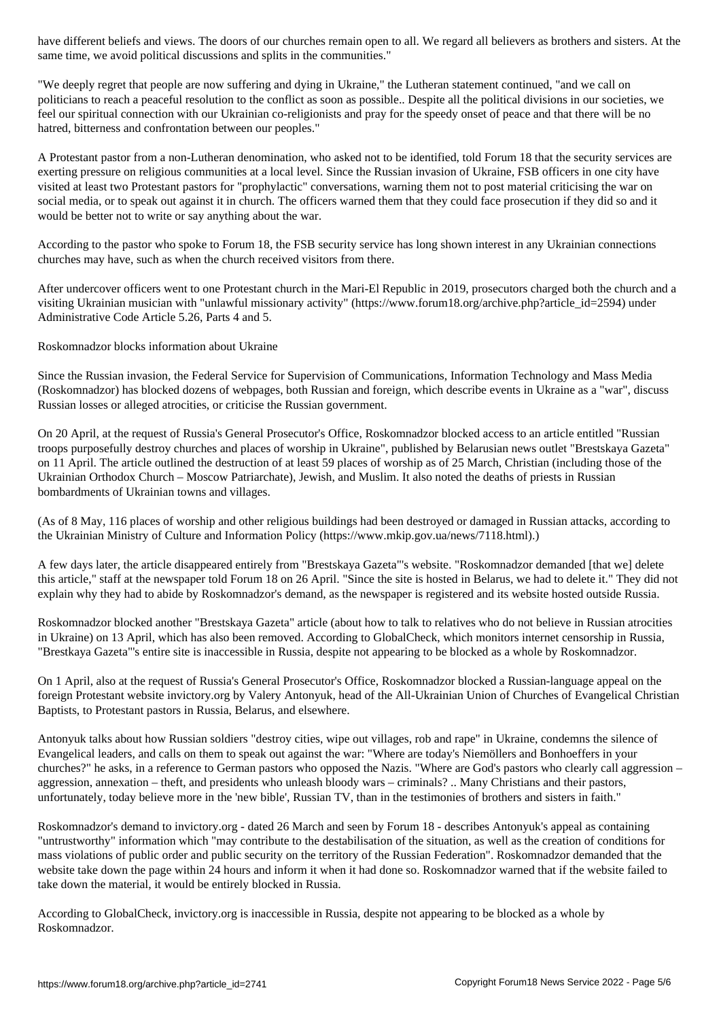same time, we avoid political discussions and splits in the communities."

"We deeply regret that people are now suffering and dying in Ukraine," the Lutheran statement continued, "and we call on politicians to reach a peaceful resolution to the conflict as soon as possible.. Despite all the political divisions in our societies, we feel our spiritual connection with our Ukrainian co-religionists and pray for the speedy onset of peace and that there will be no hatred, bitterness and confrontation between our peoples."

A Protestant pastor from a non-Lutheran denomination, who asked not to be identified, told Forum 18 that the security services are exerting pressure on religious communities at a local level. Since the Russian invasion of Ukraine, FSB officers in one city have visited at least two Protestant pastors for "prophylactic" conversations, warning them not to post material criticising the war on social media, or to speak out against it in church. The officers warned them that they could face prosecution if they did so and it would be better not to write or say anything about the war.

According to the pastor who spoke to Forum 18, the FSB security service has long shown interest in any Ukrainian connections churches may have, such as when the church received visitors from there.

After undercover officers went to one Protestant church in the Mari-El Republic in 2019, prosecutors charged both the church and a visiting Ukrainian musician with "unlawful missionary activity" (https://www.forum18.org/archive.php?article\_id=2594) under Administrative Code Article 5.26, Parts 4 and 5.

Roskomnadzor blocks information about Ukraine

Since the Russian invasion, the Federal Service for Supervision of Communications, Information Technology and Mass Media (Roskomnadzor) has blocked dozens of webpages, both Russian and foreign, which describe events in Ukraine as a "war", discuss Russian losses or alleged atrocities, or criticise the Russian government.

On 20 April, at the request of Russia's General Prosecutor's Office, Roskomnadzor blocked access to an article entitled "Russian troops purposefully destroy churches and places of worship in Ukraine", published by Belarusian news outlet "Brestskaya Gazeta" on 11 April. The article outlined the destruction of at least 59 places of worship as of 25 March, Christian (including those of the Ukrainian Orthodox Church – Moscow Patriarchate), Jewish, and Muslim. It also noted the deaths of priests in Russian bombardments of Ukrainian towns and villages.

(As of 8 May, 116 places of worship and other religious buildings had been destroyed or damaged in Russian attacks, according to the Ukrainian Ministry of Culture and Information Policy (https://www.mkip.gov.ua/news/7118.html).)

A few days later, the article disappeared entirely from "Brestskaya Gazeta"'s website. "Roskomnadzor demanded [that we] delete this article," staff at the newspaper told Forum 18 on 26 April. "Since the site is hosted in Belarus, we had to delete it." They did not explain why they had to abide by Roskomnadzor's demand, as the newspaper is registered and its website hosted outside Russia.

Roskomnadzor blocked another "Brestskaya Gazeta" article (about how to talk to relatives who do not believe in Russian atrocities in Ukraine) on 13 April, which has also been removed. According to GlobalCheck, which monitors internet censorship in Russia, "Brestkaya Gazeta"'s entire site is inaccessible in Russia, despite not appearing to be blocked as a whole by Roskomnadzor.

On 1 April, also at the request of Russia's General Prosecutor's Office, Roskomnadzor blocked a Russian-language appeal on the foreign Protestant website invictory.org by Valery Antonyuk, head of the All-Ukrainian Union of Churches of Evangelical Christian Baptists, to Protestant pastors in Russia, Belarus, and elsewhere.

Antonyuk talks about how Russian soldiers "destroy cities, wipe out villages, rob and rape" in Ukraine, condemns the silence of Evangelical leaders, and calls on them to speak out against the war: "Where are today's Niemöllers and Bonhoeffers in your churches?" he asks, in a reference to German pastors who opposed the Nazis. "Where are God's pastors who clearly call aggression – aggression, annexation – theft, and presidents who unleash bloody wars – criminals? .. Many Christians and their pastors, unfortunately, today believe more in the 'new bible', Russian TV, than in the testimonies of brothers and sisters in faith."

Roskomnadzor's demand to invictory.org - dated 26 March and seen by Forum 18 - describes Antonyuk's appeal as containing "untrustworthy" information which "may contribute to the destabilisation of the situation, as well as the creation of conditions for mass violations of public order and public security on the territory of the Russian Federation". Roskomnadzor demanded that the website take down the page within 24 hours and inform it when it had done so. Roskomnadzor warned that if the website failed to take down the material, it would be entirely blocked in Russia.

According to GlobalCheck, invictory.org is inaccessible in Russia, despite not appearing to be blocked as a whole by Roskomnadzor.